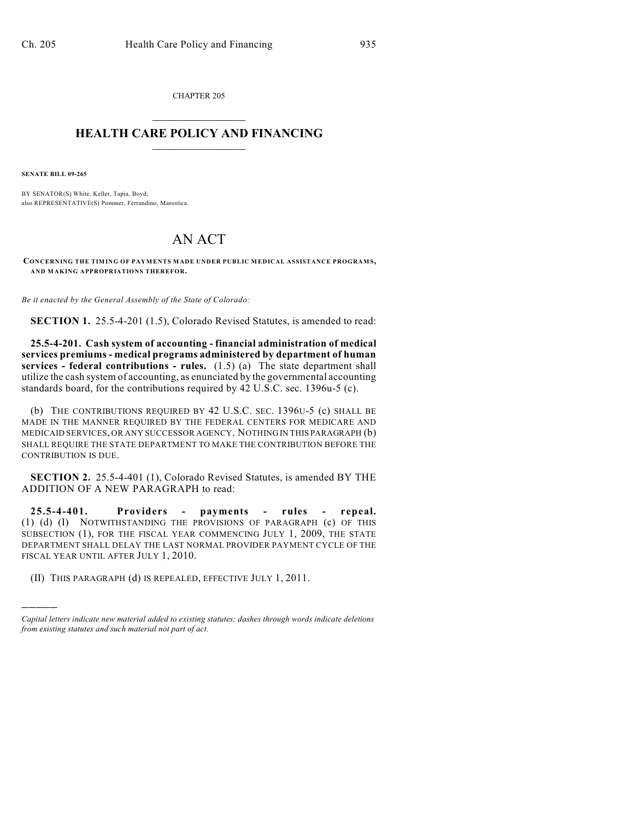CHAPTER 205  $\overline{\phantom{a}}$  . The set of the set of the set of the set of the set of the set of the set of the set of the set of the set of the set of the set of the set of the set of the set of the set of the set of the set of the set o

## **HEALTH CARE POLICY AND FINANCING**  $\_$   $\_$   $\_$   $\_$   $\_$   $\_$   $\_$   $\_$

**SENATE BILL 09-265**

)))))

BY SENATOR(S) White, Keller, Tapia, Boyd; also REPRESENTATIVE(S) Pommer, Ferrandino, Marostica.

## AN ACT

**CONCERNING THE TIM ING OF PAYM ENTS MADE UNDER PUBLIC MEDICAL ASSISTANCE PROGRAM S, AND MAKING APPROPRIATIONS THEREFOR.**

*Be it enacted by the General Assembly of the State of Colorado:*

**SECTION 1.** 25.5-4-201 (1.5), Colorado Revised Statutes, is amended to read:

**25.5-4-201. Cash system of accounting - financial administration of medical services premiums - medical programs administered by department of human services - federal contributions - rules.** (1.5) (a) The state department shall utilize the cash system of accounting, as enunciated by the governmental accounting standards board, for the contributions required by 42 U.S.C. sec. 1396u-5 (c).

(b) THE CONTRIBUTIONS REQUIRED BY 42 U.S.C. SEC. 1396U-5 (c) SHALL BE MADE IN THE MANNER REQUIRED BY THE FEDERAL CENTERS FOR MEDICARE AND MEDICAID SERVICES, OR ANY SUCCESSOR AGENCY. NOTHING IN THIS PARAGRAPH (b) SHALL REQUIRE THE STATE DEPARTMENT TO MAKE THE CONTRIBUTION BEFORE THE CONTRIBUTION IS DUE.

**SECTION 2.** 25.5-4-401 (1), Colorado Revised Statutes, is amended BY THE ADDITION OF A NEW PARAGRAPH to read:

**25.5-4-401. Providers - payments - rules - repeal.** (1) (d) (I) NOTWITHSTANDING THE PROVISIONS OF PARAGRAPH (c) OF THIS SUBSECTION (1), FOR THE FISCAL YEAR COMMENCING JULY 1, 2009, THE STATE DEPARTMENT SHALL DELAY THE LAST NORMAL PROVIDER PAYMENT CYCLE OF THE FISCAL YEAR UNTIL AFTER JULY 1, 2010.

(II) THIS PARAGRAPH (d) IS REPEALED, EFFECTIVE JULY 1, 2011.

*Capital letters indicate new material added to existing statutes; dashes through words indicate deletions from existing statutes and such material not part of act.*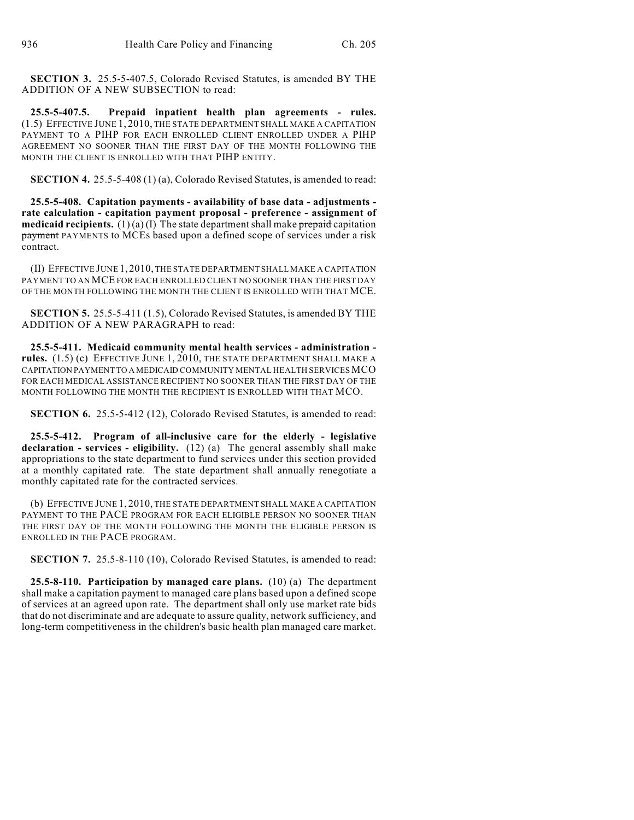**SECTION 3.** 25.5-5-407.5, Colorado Revised Statutes, is amended BY THE ADDITION OF A NEW SUBSECTION to read:

**25.5-5-407.5. Prepaid inpatient health plan agreements - rules.** (1.5) EFFECTIVE JUNE 1, 2010, THE STATE DEPARTMENT SHALL MAKE A CAPITATION PAYMENT TO A PIHP FOR EACH ENROLLED CLIENT ENROLLED UNDER A PIHP AGREEMENT NO SOONER THAN THE FIRST DAY OF THE MONTH FOLLOWING THE MONTH THE CLIENT IS ENROLLED WITH THAT PIHP ENTITY.

**SECTION 4.** 25.5-5-408 (1) (a), Colorado Revised Statutes, is amended to read:

**25.5-5-408. Capitation payments - availability of base data - adjustments rate calculation - capitation payment proposal - preference - assignment of medicaid recipients.** (1)(a) (I) The state department shall make prepaid capitation payment PAYMENTS to MCEs based upon a defined scope of services under a risk contract.

(II) EFFECTIVE JUNE 1, 2010, THE STATE DEPARTMENT SHALL MAKE A CAPITATION PAYMENT TO AN MCE FOR EACH ENROLLED CLIENT NO SOONER THAN THE FIRST DAY OF THE MONTH FOLLOWING THE MONTH THE CLIENT IS ENROLLED WITH THAT MCE.

**SECTION 5.** 25.5-5-411 (1.5), Colorado Revised Statutes, is amended BY THE ADDITION OF A NEW PARAGRAPH to read:

**25.5-5-411. Medicaid community mental health services - administration rules.** (1.5) (c) EFFECTIVE JUNE 1, 2010, THE STATE DEPARTMENT SHALL MAKE A CAPITATION PAYMENT TO A MEDICAID COMMUNITY MENTAL HEALTH SERVICES MCO FOR EACH MEDICAL ASSISTANCE RECIPIENT NO SOONER THAN THE FIRST DAY OF THE MONTH FOLLOWING THE MONTH THE RECIPIENT IS ENROLLED WITH THAT MCO.

**SECTION 6.** 25.5-5-412 (12), Colorado Revised Statutes, is amended to read:

**25.5-5-412. Program of all-inclusive care for the elderly - legislative declaration - services - eligibility.** (12) (a) The general assembly shall make appropriations to the state department to fund services under this section provided at a monthly capitated rate. The state department shall annually renegotiate a monthly capitated rate for the contracted services.

(b) EFFECTIVE JUNE 1, 2010, THE STATE DEPARTMENT SHALL MAKE A CAPITATION PAYMENT TO THE PACE PROGRAM FOR EACH ELIGIBLE PERSON NO SOONER THAN THE FIRST DAY OF THE MONTH FOLLOWING THE MONTH THE ELIGIBLE PERSON IS ENROLLED IN THE PACE PROGRAM.

**SECTION 7.** 25.5-8-110 (10), Colorado Revised Statutes, is amended to read:

**25.5-8-110. Participation by managed care plans.** (10) (a) The department shall make a capitation payment to managed care plans based upon a defined scope of services at an agreed upon rate. The department shall only use market rate bids that do not discriminate and are adequate to assure quality, network sufficiency, and long-term competitiveness in the children's basic health plan managed care market.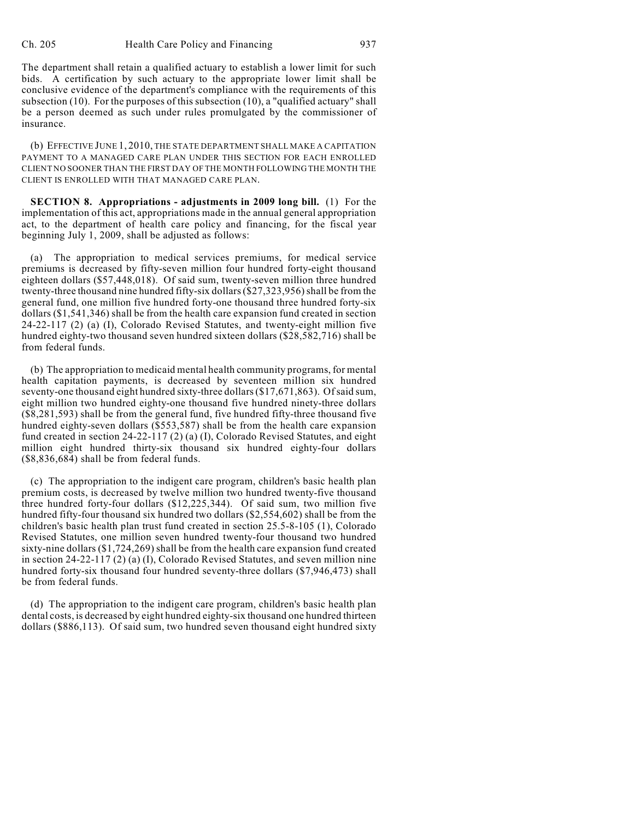The department shall retain a qualified actuary to establish a lower limit for such bids. A certification by such actuary to the appropriate lower limit shall be conclusive evidence of the department's compliance with the requirements of this subsection (10). For the purposes of this subsection (10), a "qualified actuary" shall be a person deemed as such under rules promulgated by the commissioner of insurance.

(b) EFFECTIVE JUNE 1, 2010, THE STATE DEPARTMENT SHALL MAKE A CAPITATION PAYMENT TO A MANAGED CARE PLAN UNDER THIS SECTION FOR EACH ENROLLED CLIENT NO SOONER THAN THE FIRST DAY OF THE MONTH FOLLOWING THE MONTH THE CLIENT IS ENROLLED WITH THAT MANAGED CARE PLAN.

**SECTION 8. Appropriations - adjustments in 2009 long bill.** (1) For the implementation of this act, appropriations made in the annual general appropriation act, to the department of health care policy and financing, for the fiscal year beginning July 1, 2009, shall be adjusted as follows:

(a) The appropriation to medical services premiums, for medical service premiums is decreased by fifty-seven million four hundred forty-eight thousand eighteen dollars (\$57,448,018). Of said sum, twenty-seven million three hundred twenty-three thousand nine hundred fifty-six dollars (\$27,323,956) shall be from the general fund, one million five hundred forty-one thousand three hundred forty-six dollars (\$1,541,346) shall be from the health care expansion fund created in section 24-22-117 (2) (a) (I), Colorado Revised Statutes, and twenty-eight million five hundred eighty-two thousand seven hundred sixteen dollars (\$28,582,716) shall be from federal funds.

(b) The appropriation to medicaid mental health community programs, for mental health capitation payments, is decreased by seventeen million six hundred seventy-one thousand eight hundred sixty-three dollars (\$17,671,863). Of said sum, eight million two hundred eighty-one thousand five hundred ninety-three dollars (\$8,281,593) shall be from the general fund, five hundred fifty-three thousand five hundred eighty-seven dollars (\$553,587) shall be from the health care expansion fund created in section 24-22-117 (2) (a) (I), Colorado Revised Statutes, and eight million eight hundred thirty-six thousand six hundred eighty-four dollars (\$8,836,684) shall be from federal funds.

(c) The appropriation to the indigent care program, children's basic health plan premium costs, is decreased by twelve million two hundred twenty-five thousand three hundred forty-four dollars (\$12,225,344). Of said sum, two million five hundred fifty-four thousand six hundred two dollars (\$2,554,602) shall be from the children's basic health plan trust fund created in section 25.5-8-105 (1), Colorado Revised Statutes, one million seven hundred twenty-four thousand two hundred sixty-nine dollars (\$1,724,269) shall be from the health care expansion fund created in section 24-22-117 (2) (a) (I), Colorado Revised Statutes, and seven million nine hundred forty-six thousand four hundred seventy-three dollars (\$7,946,473) shall be from federal funds.

(d) The appropriation to the indigent care program, children's basic health plan dental costs, is decreased by eight hundred eighty-six thousand one hundred thirteen dollars (\$886,113). Of said sum, two hundred seven thousand eight hundred sixty